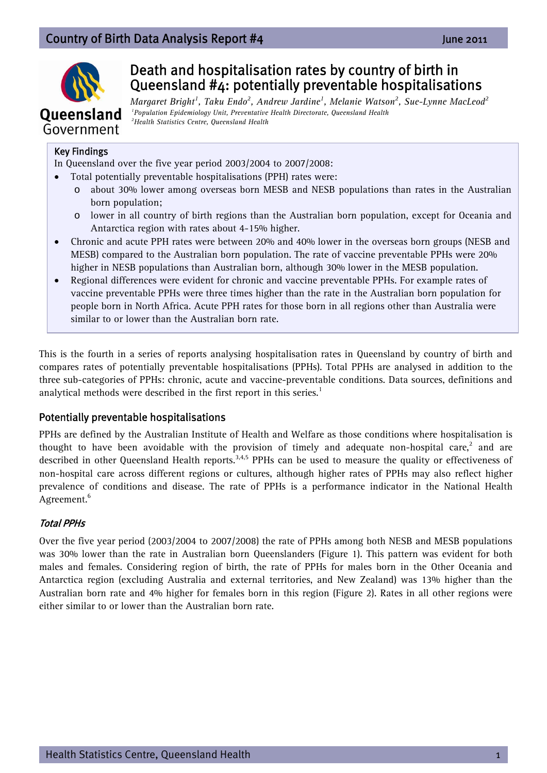## Country of Birth Data Analysis Report #**4**  June 2011



# Death and hospitalisation rates by country of birth in Queensland #4: potentially preventable hospitalisations

 $Margaret~Bright<sup>1</sup>$ , Taku Endo<sup>2</sup>, Andrew Jardine<sup>1</sup>, Melanie Watson<sup>2</sup>, Sue-Lynne MacLeod<sup>2</sup>  *1Population Epidemiology Unit, Preventative Health Directorate, Queensland Health 2Health Statistics Centre, Queensland Health* 

#### Key Findings

In Queensland over the five year period 2003/2004 to 2007/2008:

- Total potentially preventable hospitalisations (PPH) rates were:
	- o about 30% lower among overseas born MESB and NESB populations than rates in the Australian born population;
	- o lower in all country of birth regions than the Australian born population, except for Oceania and Antarctica region with rates about 4-15% higher.
- Chronic and acute PPH rates were between 20% and 40% lower in the overseas born groups (NESB and MESB) compared to the Australian born population. The rate of vaccine preventable PPHs were 20% higher in NESB populations than Australian born, although 30% lower in the MESB population.
- Regional differences were evident for chronic and vaccine preventable PPHs. For example rates of vaccine preventable PPHs were three times higher than the rate in the Australian born population for people born in North Africa. Acute PPH rates for those born in all regions other than Australia were similar to or lower than the Australian born rate.

This is the fourth in a series of reports analysing hospitalisation rates in Queensland by country of birth and compares rates of potentially preventable hospitalisations (PPHs). Total PPHs are analysed in addition to the three sub-categories of PPHs: chronic, acute and vaccine-preventable conditions. Data sources, definitions and analytical methods were described in the first report in this series.<sup>1</sup>

## Potentially preventable hospitalisations

PPHs are defined by the Australian Institute of Health and Welfare as those conditions where hospitalisation is thought to have been avoidable with the provision of timely and adequate non-hospital care, $^2$  and are described in other Queensland Health reports.<sup>3,4,5</sup> PPHs can be used to measure the quality or effectiveness of non-hospital care across different regions or cultures, although higher rates of PPHs may also reflect higher prevalence of conditions and disease. The rate of PPHs is a performance indicator in the National Health Agreement.<sup>6</sup>

## Total PPHs

Over the five year period (2003/2004 to 2007/2008) the rate of PPHs among both NESB and MESB populations was 30% lower than the rate in Australian born Queenslanders (Figure 1). This pattern was evident for both males and females. Considering region of birth, the rate of PPHs for males born in the Other Oceania and Antarctica region (excluding Australia and external territories, and New Zealand) was 13% higher than the Australian born rate and 4% higher for females born in this region (Figure 2). Rates in all other regions were either similar to or lower than the Australian born rate.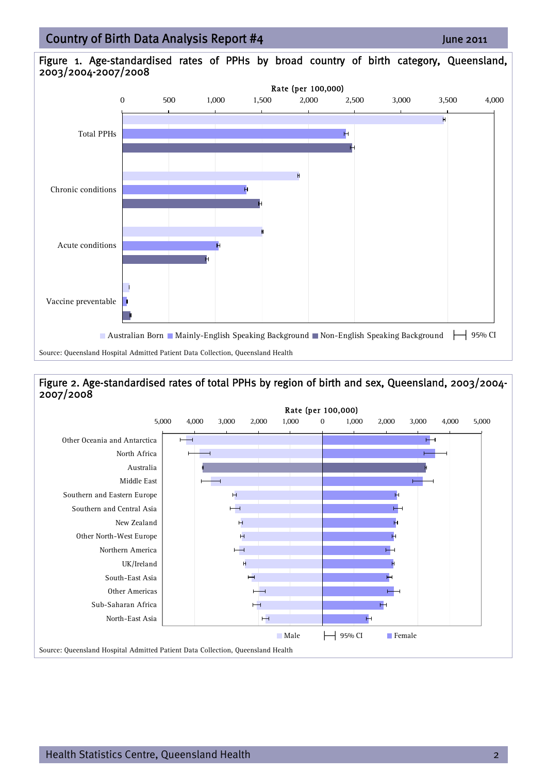## 15/06/2011 Country of Birth Data Analysis Report #4

#### Figure 1. Age-standardised rates of PPHs by broad country of birth category, Queensland, 2003/2004-2007/2008



### Figure 2. Age-standardised rates of total PPHs by region of birth and sex, Queensland, 2003/2004- 2007/2008

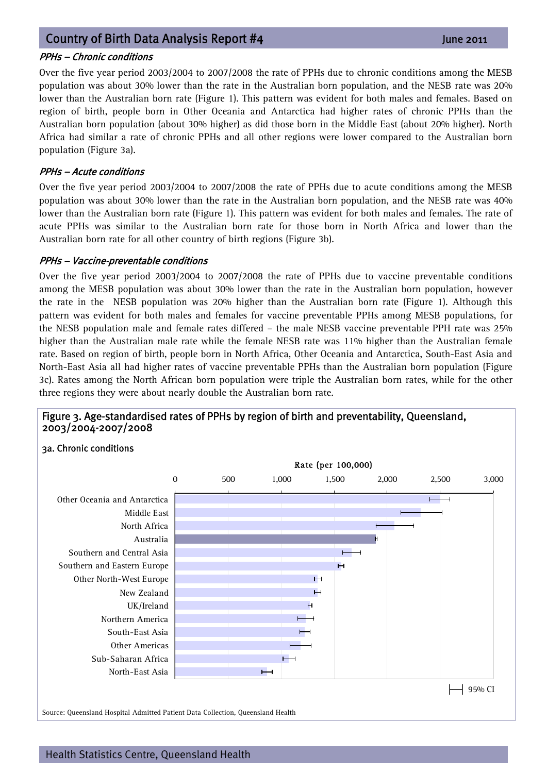## 15/06/2011` Country of Birth Data Analysis Report #**<sup>4</sup>**  June 2011

#### PPHs – Chronic conditions

Over the five year period 2003/2004 to 2007/2008 the rate of PPHs due to chronic conditions among the MESB population was about 30% lower than the rate in the Australian born population, and the NESB rate was 20% lower than the Australian born rate (Figure 1). This pattern was evident for both males and females. Based on region of birth, people born in Other Oceania and Antarctica had higher rates of chronic PPHs than the Australian born population (about 30% higher) as did those born in the Middle East (about 20% higher). North Africa had similar a rate of chronic PPHs and all other regions were lower compared to the Australian born population (Figure 3a).

#### PPHs – Acute conditions

Over the five year period 2003/2004 to 2007/2008 the rate of PPHs due to acute conditions among the MESB population was about 30% lower than the rate in the Australian born population, and the NESB rate was 40% lower than the Australian born rate (Figure 1). This pattern was evident for both males and females. The rate of acute PPHs was similar to the Australian born rate for those born in North Africa and lower than the Australian born rate for all other country of birth regions (Figure 3b).

#### PPHs – Vaccine-preventable conditions

Over the five year period 2003/2004 to 2007/2008 the rate of PPHs due to vaccine preventable conditions among the MESB population was about 30% lower than the rate in the Australian born population, however the rate in the NESB population was 20% higher than the Australian born rate (Figure 1). Although this pattern was evident for both males and females for vaccine preventable PPHs among MESB populations, for the NESB population male and female rates differed – the male NESB vaccine preventable PPH rate was 25% higher than the Australian male rate while the female NESB rate was 11% higher than the Australian female rate. Based on region of birth, people born in North Africa, Other Oceania and Antarctica, South-East Asia and North-East Asia all had higher rates of vaccine preventable PPHs than the Australian born population (Figure 3c). Rates among the North African born population were triple the Australian born rates, while for the other three regions they were about nearly double the Australian born rate.

#### Figure 3. Age-standardised rates of PPHs by region of birth and preventability, Queensland, 2003/2004-2007/2008

#### 3a. Chronic conditions

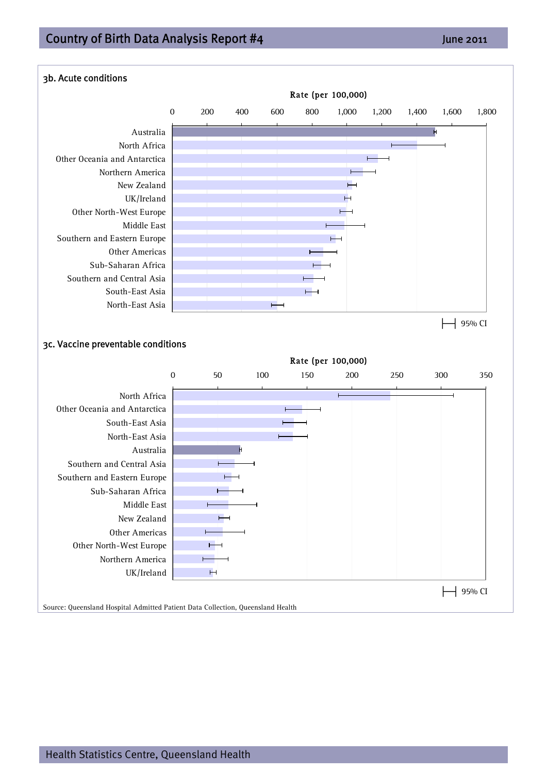## 15/06/2011 Country of Birth Data Analysis Report #4

## Ī 3b. Acute conditions Rate (per 100,000) 0 200 400 600 800 1,000 1,200 1,400 1,600 1,800 Australia j. North Africa Other Oceania and Antarctica Northern America New Zealand UK/Ireland Other North-West Europe Middle East Southern and Eastern Europe Other Americas Sub-Saharan Africa Southern and Central Asia South-East Asia North-East Asia  $\overline{\phantom{0}}$ ├─┤ 95% CI 3c. Vaccine preventable conditions Rate (per 100,000)